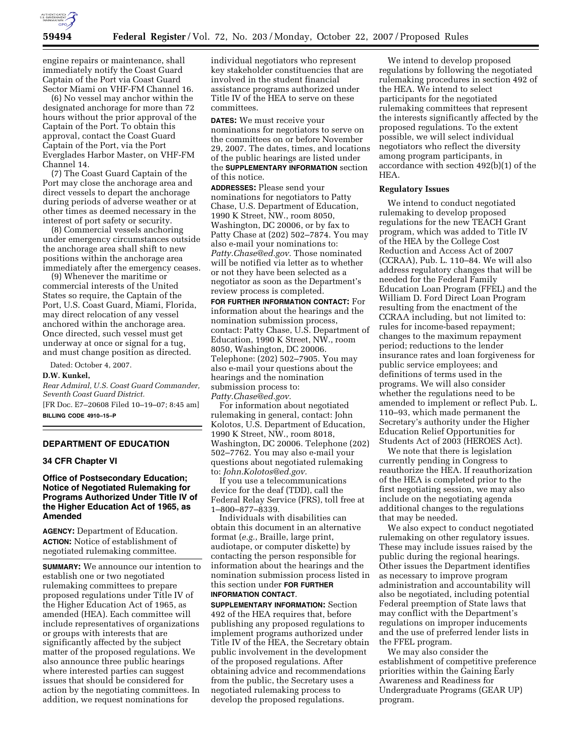

engine repairs or maintenance, shall immediately notify the Coast Guard Captain of the Port via Coast Guard Sector Miami on VHF-FM Channel 16.

(6) No vessel may anchor within the designated anchorage for more than 72 hours without the prior approval of the Captain of the Port. To obtain this approval, contact the Coast Guard Captain of the Port, via the Port Everglades Harbor Master, on VHF-FM Channel 14.

(7) The Coast Guard Captain of the Port may close the anchorage area and direct vessels to depart the anchorage during periods of adverse weather or at other times as deemed necessary in the interest of port safety or security.

(8) Commercial vessels anchoring under emergency circumstances outside the anchorage area shall shift to new positions within the anchorage area immediately after the emergency ceases.

(9) Whenever the maritime or commercial interests of the United States so require, the Captain of the Port, U.S. Coast Guard, Miami, Florida, may direct relocation of any vessel anchored within the anchorage area. Once directed, such vessel must get underway at once or signal for a tug, and must change position as directed.

Dated: October 4, 2007.

# **D.W. Kunkel,**

*Rear Admiral, U.S. Coast Guard Commander, Seventh Coast Guard District.*  [FR Doc. E7–20608 Filed 10–19–07; 8:45 am]

**BILLING CODE 4910–15–P** 

# **DEPARTMENT OF EDUCATION**

### **34 CFR Chapter VI**

## **Office of Postsecondary Education; Notice of Negotiated Rulemaking for Programs Authorized Under Title IV of the Higher Education Act of 1965, as Amended**

**AGENCY:** Department of Education. **ACTION:** Notice of establishment of negotiated rulemaking committee.

**SUMMARY:** We announce our intention to establish one or two negotiated rulemaking committees to prepare proposed regulations under Title IV of the Higher Education Act of 1965, as amended (HEA). Each committee will include representatives of organizations or groups with interests that are significantly affected by the subject matter of the proposed regulations. We also announce three public hearings where interested parties can suggest issues that should be considered for action by the negotiating committees. In addition, we request nominations for

individual negotiators who represent key stakeholder constituencies that are involved in the student financial assistance programs authorized under Title IV of the HEA to serve on these committees.

**DATES:** We must receive your nominations for negotiators to serve on the committees on or before November 29, 2007. The dates, times, and locations of the public hearings are listed under the **SUPPLEMENTARY INFORMATION** section of this notice.

**ADDRESSES:** Please send your nominations for negotiators to Patty Chase, U.S. Department of Education, 1990 K Street, NW., room 8050, Washington, DC 20006, or by fax to Patty Chase at (202) 502–7874. You may also e-mail your nominations to: *Patty.Chase@ed.gov.* Those nominated will be notified via letter as to whether or not they have been selected as a negotiator as soon as the Department's review process is completed.

**FOR FURTHER INFORMATION CONTACT:** For information about the hearings and the nomination submission process, contact: Patty Chase, U.S. Department of Education, 1990 K Street, NW., room 8050, Washington, DC 20006. Telephone: (202) 502–7905. You may also e-mail your questions about the hearings and the nomination submission process to: *Patty.Chase@ed.gov.* 

For information about negotiated rulemaking in general, contact: John Kolotos, U.S. Department of Education, 1990 K Street, NW., room 8018, Washington, DC 20006. Telephone (202) 502–7762. You may also e-mail your questions about negotiated rulemaking to: *John.Kolotos@ed.gov.* 

If you use a telecommunications device for the deaf (TDD), call the Federal Relay Service (FRS), toll free at 1–800–877–8339.

Individuals with disabilities can obtain this document in an alternative format (*e.g.*, Braille, large print, audiotape, or computer diskette) by contacting the person responsible for information about the hearings and the nomination submission process listed in this section under **FOR FURTHER INFORMATION CONTACT**.

**SUPPLEMENTARY INFORMATION:** Section 492 of the HEA requires that, before publishing any proposed regulations to implement programs authorized under Title IV of the HEA, the Secretary obtain public involvement in the development of the proposed regulations. After obtaining advice and recommendations from the public, the Secretary uses a negotiated rulemaking process to develop the proposed regulations.

We intend to develop proposed regulations by following the negotiated rulemaking procedures in section 492 of the HEA. We intend to select participants for the negotiated rulemaking committees that represent the interests significantly affected by the proposed regulations. To the extent possible, we will select individual negotiators who reflect the diversity among program participants, in accordance with section 492(b)(1) of the HEA.

### **Regulatory Issues**

We intend to conduct negotiated rulemaking to develop proposed regulations for the new TEACH Grant program, which was added to Title IV of the HEA by the College Cost Reduction and Access Act of 2007 (CCRAA), Pub. L. 110–84. We will also address regulatory changes that will be needed for the Federal Family Education Loan Program (FFEL) and the William D. Ford Direct Loan Program resulting from the enactment of the CCRAA including, but not limited to: rules for income-based repayment; changes to the maximum repayment period; reductions to the lender insurance rates and loan forgiveness for public service employees; and definitions of terms used in the programs. We will also consider whether the regulations need to be amended to implement or reflect Pub. L. 110–93, which made permanent the Secretary's authority under the Higher Education Relief Opportunities for Students Act of 2003 (HEROES Act).

We note that there is legislation currently pending in Congress to reauthorize the HEA. If reauthorization of the HEA is completed prior to the first negotiating session, we may also include on the negotiating agenda additional changes to the regulations that may be needed.

We also expect to conduct negotiated rulemaking on other regulatory issues. These may include issues raised by the public during the regional hearings. Other issues the Department identifies as necessary to improve program administration and accountability will also be negotiated, including potential Federal preemption of State laws that may conflict with the Department's regulations on improper inducements and the use of preferred lender lists in the FFEL program.

We may also consider the establishment of competitive preference priorities within the Gaining Early Awareness and Readiness for Undergraduate Programs (GEAR UP) program.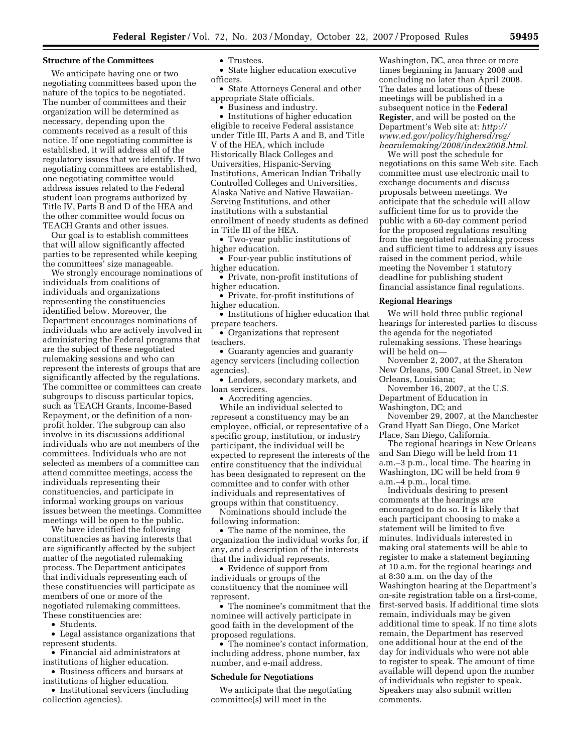#### **Structure of the Committees**

We anticipate having one or two negotiating committees based upon the nature of the topics to be negotiated. The number of committees and their organization will be determined as necessary, depending upon the comments received as a result of this notice. If one negotiating committee is established, it will address all of the regulatory issues that we identify. If two negotiating committees are established, one negotiating committee would address issues related to the Federal student loan programs authorized by Title IV, Parts B and D of the HEA and the other committee would focus on TEACH Grants and other issues.

Our goal is to establish committees that will allow significantly affected parties to be represented while keeping the committees' size manageable.

We strongly encourage nominations of individuals from coalitions of individuals and organizations representing the constituencies identified below. Moreover, the Department encourages nominations of individuals who are actively involved in administering the Federal programs that are the subject of these negotiated rulemaking sessions and who can represent the interests of groups that are significantly affected by the regulations. The committee or committees can create subgroups to discuss particular topics, such as TEACH Grants, Income-Based Repayment, or the definition of a nonprofit holder. The subgroup can also involve in its discussions additional individuals who are not members of the committees. Individuals who are not selected as members of a committee can attend committee meetings, access the individuals representing their constituencies, and participate in informal working groups on various issues between the meetings. Committee meetings will be open to the public.

We have identified the following constituencies as having interests that are significantly affected by the subject matter of the negotiated rulemaking process. The Department anticipates that individuals representing each of these constituencies will participate as members of one or more of the negotiated rulemaking committees. These constituencies are:

• Students.

• Legal assistance organizations that represent students.

• Financial aid administrators at institutions of higher education.

• Business officers and bursars at institutions of higher education.

• Institutional servicers (including collection agencies).

• State higher education executive officers.

• State Attorneys General and other appropriate State officials.

• Business and industry.

• Institutions of higher education eligible to receive Federal assistance under Title III, Parts A and B, and Title V of the HEA, which include Historically Black Colleges and Universities, Hispanic-Serving Institutions, American Indian Tribally Controlled Colleges and Universities, Alaska Native and Native Hawaiian-Serving Institutions, and other institutions with a substantial enrollment of needy students as defined in Title III of the HEA.

• Two-year public institutions of higher education.

• Four-year public institutions of higher education.

• Private, non-profit institutions of higher education.

• Private, for-profit institutions of higher education.

• Institutions of higher education that prepare teachers.

• Organizations that represent teachers.

• Guaranty agencies and guaranty agency servicers (including collection agencies).

• Lenders, secondary markets, and loan servicers.

• Accrediting agencies.

While an individual selected to represent a constituency may be an employee, official, or representative of a specific group, institution, or industry participant, the individual will be expected to represent the interests of the entire constituency that the individual has been designated to represent on the committee and to confer with other individuals and representatives of groups within that constituency.

Nominations should include the following information:

• The name of the nominee, the organization the individual works for, if any, and a description of the interests that the individual represents.

• Evidence of support from individuals or groups of the constituency that the nominee will represent.

• The nominee's commitment that the nominee will actively participate in good faith in the development of the proposed regulations.

• The nominee's contact information, including address, phone number, fax number, and e-mail address.

### **Schedule for Negotiations**

We anticipate that the negotiating committee(s) will meet in the

Washington, DC, area three or more times beginning in January 2008 and concluding no later than April 2008. The dates and locations of these meetings will be published in a subsequent notice in the **Federal Register**, and will be posted on the Department's Web site at: *http:// www.ed.gov/policy/highered/reg/ hearulemaking/2008/index2008.html*.

We will post the schedule for negotiations on this same Web site. Each committee must use electronic mail to exchange documents and discuss proposals between meetings. We anticipate that the schedule will allow sufficient time for us to provide the public with a 60-day comment period for the proposed regulations resulting from the negotiated rulemaking process and sufficient time to address any issues raised in the comment period, while meeting the November 1 statutory deadline for publishing student financial assistance final regulations.

#### **Regional Hearings**

We will hold three public regional hearings for interested parties to discuss the agenda for the negotiated rulemaking sessions. These hearings will be held on—

November 2, 2007, at the Sheraton New Orleans, 500 Canal Street, in New Orleans, Louisiana;

November 16, 2007, at the U.S.

Department of Education in

Washington, DC; and

November 29, 2007, at the Manchester Grand Hyatt San Diego, One Market Place, San Diego, California.

The regional hearings in New Orleans and San Diego will be held from 11 a.m.–3 p.m., local time. The hearing in Washington, DC will be held from 9 a.m.–4 p.m., local time.

Individuals desiring to present comments at the hearings are encouraged to do so. It is likely that each participant choosing to make a statement will be limited to five minutes. Individuals interested in making oral statements will be able to register to make a statement beginning at 10 a.m. for the regional hearings and at 8:30 a.m. on the day of the Washington hearing at the Department's on-site registration table on a first-come, first-served basis. If additional time slots remain, individuals may be given additional time to speak. If no time slots remain, the Department has reserved one additional hour at the end of the day for individuals who were not able to register to speak. The amount of time available will depend upon the number of individuals who register to speak. Speakers may also submit written comments.

<sup>•</sup> Trustees.